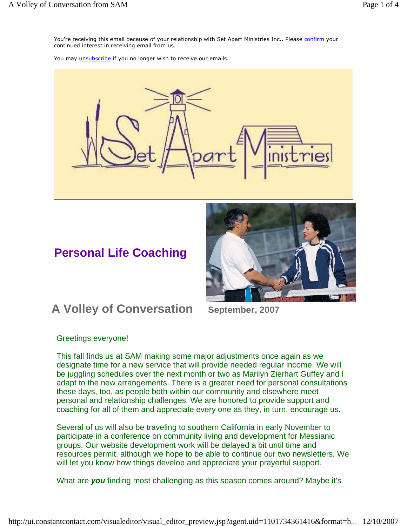You're receiving this email because of your relationship with Set Apart Ministries Inc.. Please confirm your continued interest in receiving email from us.

You may *unsubscribe* if you no longer wish to receive our emails.



## **Personal Life Coaching**



## **A Volley of Conversation September, 2007**

Greetings everyone!

This fall finds us at SAM making some major adjustments once again as we designate time for a new service that will provide needed regular income. We will be juggling schedules over the next month or two as Marilyn Zierhart Guffey and I adapt to the new arrangements. There is a greater need for personal consultations these days, too, as people both within our community and elsewhere meet personal and relationship challenges. We are honored to provide support and coaching for all of them and appreciate every one as they, in turn, encourage us.

Several of us will also be traveling to southern California in early November to participate in a conference on community living and development for Messianic groups. Our website development work will be delayed a bit until time and resources permit, although we hope to be able to continue our two newsletters. We will let you know how things develop and appreciate your prayerful support.

What are **you** finding most challenging as this season comes around? Maybe it's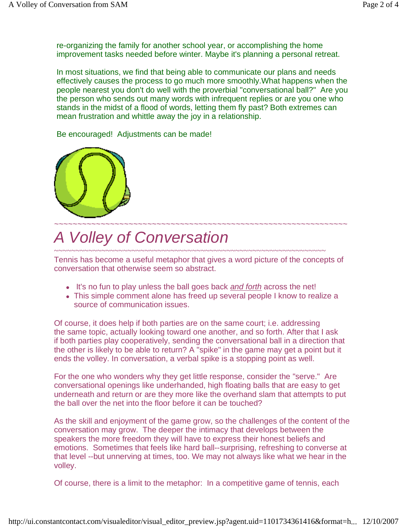re-organizing the family for another school year, or accomplishing the home improvement tasks needed before winter. Maybe it's planning a personal retreat.

In most situations, we find that being able to communicate our plans and needs effectively causes the process to go much more smoothly.What happens when the people nearest you don't do well with the proverbial "conversational ball?" Are you the person who sends out many words with infrequent replies or are you one who stands in the midst of a flood of words, letting them fly past? Both extremes can mean frustration and whittle away the joy in a relationship.

Be encouraged! Adjustments can be made!



# A Volley of Conversation

~~~~~~~~~~~~~~~~~~~~~~~~~~~~~~~~~~~~~~~~~~~~~~~~~~~~~~~~~~~~~~~ Tennis has become a useful metaphor that gives a word picture of the concepts of conversation that otherwise seem so abstract.

- It's no fun to play unless the ball goes back and forth across the net!
- This simple comment alone has freed up several people I know to realize a source of communication issues.

Of course, it does help if both parties are on the same court; i.e. addressing the same topic, actually looking toward one another, and so forth. After that I ask if both parties play cooperatively, sending the conversational ball in a direction that the other is likely to be able to return? A "spike" in the game may get a point but it ends the volley. In conversation, a verbal spike is a stopping point as well.

For the one who wonders why they get little response, consider the "serve." Are conversational openings like underhanded, high floating balls that are easy to get underneath and return or are they more like the overhand slam that attempts to put the ball over the net into the floor before it can be touched?

As the skill and enjoyment of the game grow, so the challenges of the content of the conversation may grow. The deeper the intimacy that develops between the speakers the more freedom they will have to express their honest beliefs and emotions. Sometimes that feels like hard ball--surprising, refreshing to converse at that level --but unnerving at times, too. We may not always like what we hear in the volley.

Of course, there is a limit to the metaphor: In a competitive game of tennis, each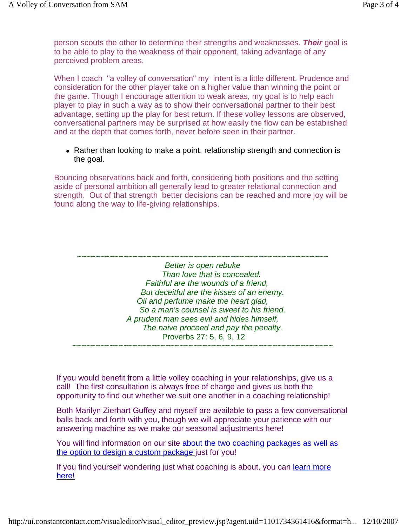person scouts the other to determine their strengths and weaknesses. **Their** goal is to be able to play to the weakness of their opponent, taking advantage of any perceived problem areas.

When I coach "a volley of conversation" my intent is a little different. Prudence and consideration for the other player take on a higher value than winning the point or the game. Though I encourage attention to weak areas, my goal is to help each player to play in such a way as to show their conversational partner to their best advantage, setting up the play for best return. If these volley lessons are observed, conversational partners may be surprised at how easily the flow can be established and at the depth that comes forth, never before seen in their partner.

• Rather than looking to make a point, relationship strength and connection is the goal.

Bouncing observations back and forth, considering both positions and the setting aside of personal ambition all generally lead to greater relational connection and strength. Out of that strength better decisions can be reached and more joy will be found along the way to life-giving relationships.

~~~~~~~~~~~~~~~~~~~~~~~~~~~~~~~~~~~~~~~~~~~~~~~~~~~~~~

Better is open rebuke Than love that is concealed. Faithful are the wounds of a friend, But deceitful are the kisses of an enemy. Oil and perfume make the heart glad, So a man's counsel is sweet to his friend. A prudent man sees evil and hides himself, The naive proceed and pay the penalty. Proverbs 27: 5, 6, 9, 12 ~~~~~~~~~~~~~~~~~~~~~~~~~~~~~~~~~~~~~~~~~~~~~~~~~~~~~~~~

If you would benefit from a little volley coaching in your relationships, give us a call! The first consultation is always free of charge and gives us both the opportunity to find out whether we suit one another in a coaching relationship!

Both Marilyn Zierhart Guffey and myself are available to pass a few conversational balls back and forth with you, though we will appreciate your patience with our answering machine as we make our seasonal adjustments here!

You will find information on our site about the two coaching packages as well as the option to design a custom package just for you!

If you find yourself wondering just what coaching is about, you can learn more here!